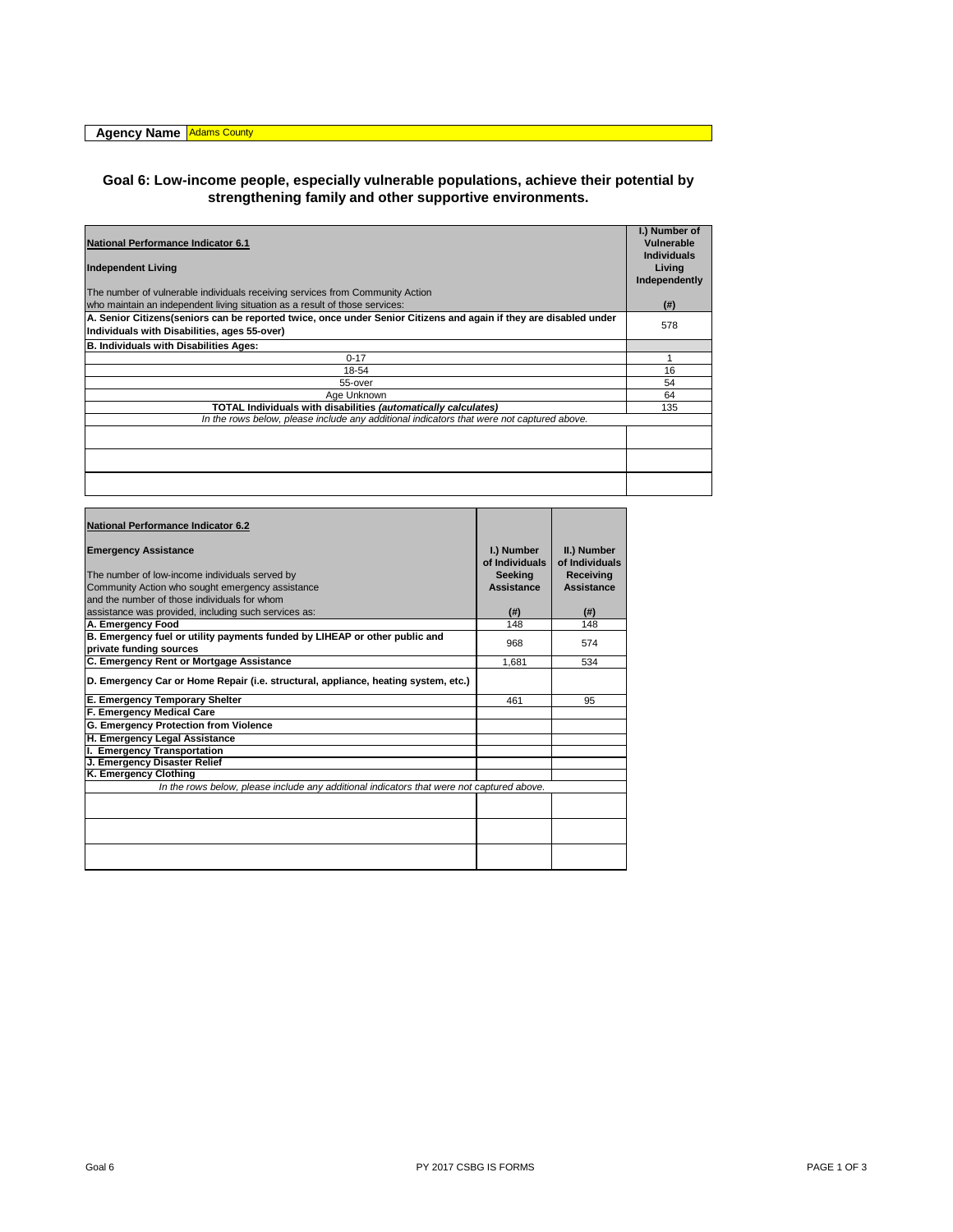## **Goal 6: Low-income people, especially vulnerable populations, achieve their potential by strengthening family and other supportive environments.**

| National Performance Indicator 6.1<br><b>Independent Living</b>                                                                                                    | I.) Number of<br>Vulnerable<br><b>Individuals</b><br>Living<br>Independently |
|--------------------------------------------------------------------------------------------------------------------------------------------------------------------|------------------------------------------------------------------------------|
| The number of vulnerable individuals receiving services from Community Action                                                                                      |                                                                              |
| who maintain an independent living situation as a result of those services:                                                                                        | (#)                                                                          |
| A. Senior Citizens (seniors can be reported twice, once under Senior Citizens and again if they are disabled under<br>Individuals with Disabilities, ages 55-over) | 578                                                                          |
| <b>B. Individuals with Disabilities Ages:</b>                                                                                                                      |                                                                              |
| $0 - 17$                                                                                                                                                           |                                                                              |
| 18-54                                                                                                                                                              | 16                                                                           |
| 55-over                                                                                                                                                            | 54                                                                           |
| Age Unknown                                                                                                                                                        | 64                                                                           |
| TOTAL Individuals with disabilities (automatically calculates)                                                                                                     | 135                                                                          |
| In the rows below, please include any additional indicators that were not captured above.                                                                          |                                                                              |
|                                                                                                                                                                    |                                                                              |
|                                                                                                                                                                    |                                                                              |
|                                                                                                                                                                    |                                                                              |

| <b>National Performance Indicator 6.2</b>                                                 |                              |                               |
|-------------------------------------------------------------------------------------------|------------------------------|-------------------------------|
| <b>Emergency Assistance</b>                                                               | I.) Number<br>of Individuals | II.) Number<br>of Individuals |
| The number of low-income individuals served by                                            | <b>Seeking</b>               | Receiving                     |
| Community Action who sought emergency assistance                                          | Assistance                   | Assistance                    |
| and the number of those individuals for whom                                              |                              |                               |
| assistance was provided, including such services as:                                      | (#)                          | $($ # $)$                     |
| A. Emergency Food                                                                         | 148                          | 148                           |
| B. Emergency fuel or utility payments funded by LIHEAP or other public and                | 968                          |                               |
| private funding sources                                                                   |                              | 574                           |
| C. Emergency Rent or Mortgage Assistance                                                  | 1.681                        | 534                           |
| D. Emergency Car or Home Repair (i.e. structural, appliance, heating system, etc.)        |                              |                               |
| E. Emergency Temporary Shelter                                                            | 461                          | 95                            |
| F. Emergency Medical Care                                                                 |                              |                               |
| G. Emergency Protection from Violence                                                     |                              |                               |
| H. Emergency Legal Assistance                                                             |                              |                               |
| I. Emergency Transportation                                                               |                              |                               |
| J. Emergency Disaster Relief                                                              |                              |                               |
| K. Emergency Clothing                                                                     |                              |                               |
| In the rows below, please include any additional indicators that were not captured above. |                              |                               |
|                                                                                           |                              |                               |
|                                                                                           |                              |                               |
|                                                                                           |                              |                               |
|                                                                                           |                              |                               |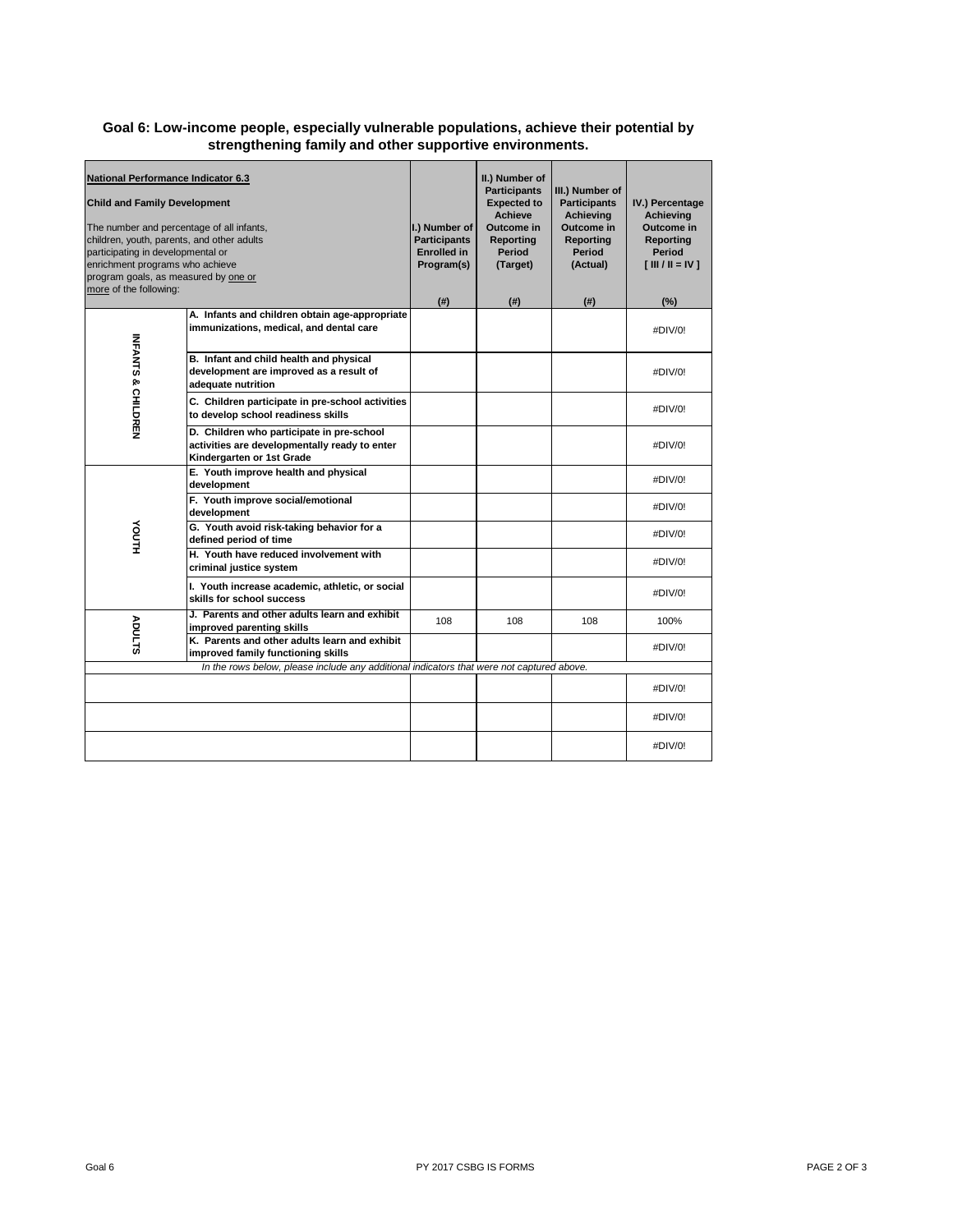## **Goal 6: Low-income people, especially vulnerable populations, achieve their potential by strengthening family and other supportive environments.**

| <b>National Performance Indicator 6.3</b><br><b>Child and Family Development</b><br>The number and percentage of all infants,<br>children, youth, parents, and other adults<br>participating in developmental or<br>enrichment programs who achieve<br>program goals, as measured by one or<br>more of the following: |                                                                                                                         | I.) Number of<br><b>Participants</b><br><b>Enrolled in</b><br>Program(s)<br>$($ # $)$ | II.) Number of<br><b>Participants</b><br><b>Expected to</b><br><b>Achieve</b><br>Outcome in<br>Reporting<br><b>Period</b><br>(Target)<br>(#) | III.) Number of<br><b>Participants</b><br>Achievina<br><b>Outcome in</b><br>Reporting<br>Period<br>(Actual)<br>$($ # $)$ | IV.) Percentage<br>Achievina<br>Outcome in<br>Reporting<br><b>Period</b><br>$\begin{bmatrix} \text{III} / \text{II} = \text{IV} \end{bmatrix}$<br>(%) |
|-----------------------------------------------------------------------------------------------------------------------------------------------------------------------------------------------------------------------------------------------------------------------------------------------------------------------|-------------------------------------------------------------------------------------------------------------------------|---------------------------------------------------------------------------------------|----------------------------------------------------------------------------------------------------------------------------------------------|--------------------------------------------------------------------------------------------------------------------------|-------------------------------------------------------------------------------------------------------------------------------------------------------|
| <b>INFANTS &amp; CHILDREN</b>                                                                                                                                                                                                                                                                                         | A. Infants and children obtain age-appropriate<br>immunizations, medical, and dental care                               |                                                                                       |                                                                                                                                              |                                                                                                                          | #DIV/0!                                                                                                                                               |
|                                                                                                                                                                                                                                                                                                                       | B. Infant and child health and physical<br>development are improved as a result of<br>adequate nutrition                |                                                                                       |                                                                                                                                              |                                                                                                                          | #DIV/0!                                                                                                                                               |
|                                                                                                                                                                                                                                                                                                                       | C. Children participate in pre-school activities<br>to develop school readiness skills                                  |                                                                                       |                                                                                                                                              |                                                                                                                          | #DIV/0!                                                                                                                                               |
|                                                                                                                                                                                                                                                                                                                       | D. Children who participate in pre-school<br>activities are developmentally ready to enter<br>Kindergarten or 1st Grade |                                                                                       |                                                                                                                                              |                                                                                                                          | #DIV/0!                                                                                                                                               |
| YOUTH                                                                                                                                                                                                                                                                                                                 | E. Youth improve health and physical<br>development                                                                     |                                                                                       |                                                                                                                                              |                                                                                                                          | #DIV/0!                                                                                                                                               |
|                                                                                                                                                                                                                                                                                                                       | F. Youth improve social/emotional<br>development                                                                        |                                                                                       |                                                                                                                                              |                                                                                                                          | #DIV/0!                                                                                                                                               |
|                                                                                                                                                                                                                                                                                                                       | G. Youth avoid risk-taking behavior for a<br>defined period of time                                                     |                                                                                       |                                                                                                                                              |                                                                                                                          | #DIV/0!                                                                                                                                               |
|                                                                                                                                                                                                                                                                                                                       | H. Youth have reduced involvement with<br>criminal justice system                                                       |                                                                                       |                                                                                                                                              |                                                                                                                          | #DIV/0!                                                                                                                                               |
|                                                                                                                                                                                                                                                                                                                       | I. Youth increase academic, athletic, or social<br>skills for school success                                            |                                                                                       |                                                                                                                                              |                                                                                                                          | #DIV/0!                                                                                                                                               |
| ADULTS                                                                                                                                                                                                                                                                                                                | J. Parents and other adults learn and exhibit<br>improved parenting skills                                              | 108                                                                                   | 108                                                                                                                                          | 108                                                                                                                      | 100%                                                                                                                                                  |
|                                                                                                                                                                                                                                                                                                                       | K. Parents and other adults learn and exhibit<br>improved family functioning skills                                     |                                                                                       |                                                                                                                                              |                                                                                                                          | #DIV/0!                                                                                                                                               |
|                                                                                                                                                                                                                                                                                                                       | In the rows below, please include any additional indicators that were not captured above.                               |                                                                                       |                                                                                                                                              |                                                                                                                          |                                                                                                                                                       |
|                                                                                                                                                                                                                                                                                                                       |                                                                                                                         |                                                                                       |                                                                                                                                              |                                                                                                                          | #DIV/0!                                                                                                                                               |
|                                                                                                                                                                                                                                                                                                                       |                                                                                                                         |                                                                                       |                                                                                                                                              |                                                                                                                          | #DIV/0!                                                                                                                                               |
|                                                                                                                                                                                                                                                                                                                       |                                                                                                                         |                                                                                       |                                                                                                                                              |                                                                                                                          | #DIV/0!                                                                                                                                               |